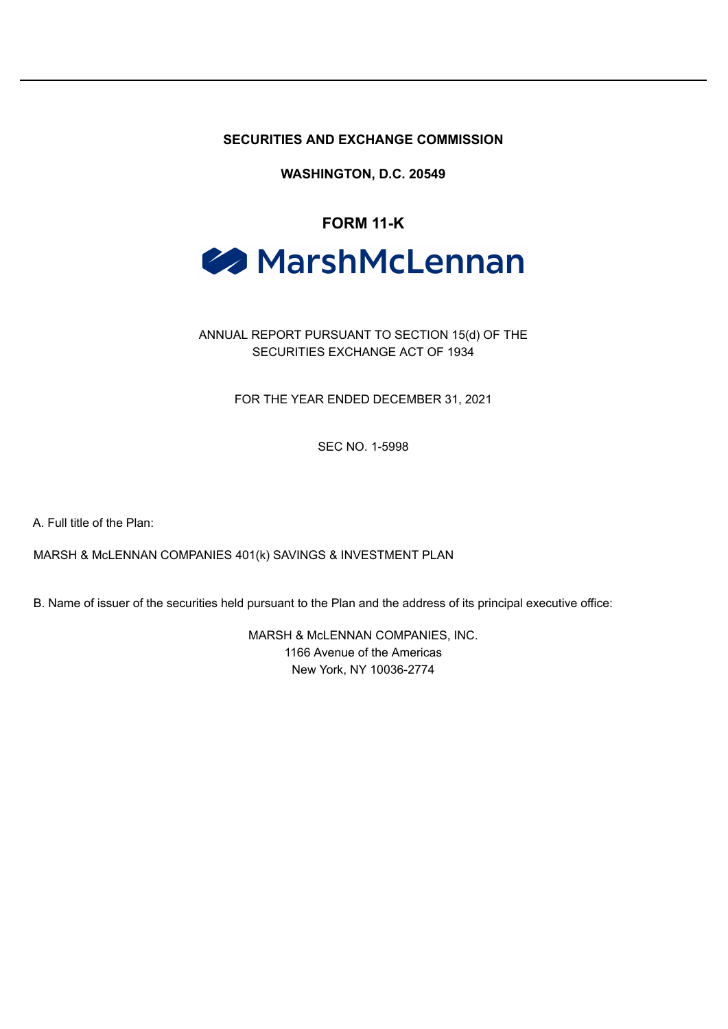**SECURITIES AND EXCHANGE COMMISSION**

**WASHINGTON, D.C. 20549**

# **FORM 11-K**

# **A** MarshMcLennan

# ANNUAL REPORT PURSUANT TO SECTION 15(d) OF THE SECURITIES EXCHANGE ACT OF 1934

FOR THE YEAR ENDED DECEMBER 31, 2021

SEC NO. 1-5998

A. Full title of the Plan:

MARSH & McLENNAN COMPANIES 401(k) SAVINGS & INVESTMENT PLAN

B. Name of issuer of the securities held pursuant to the Plan and the address of its principal executive office:

MARSH & McLENNAN COMPANIES, INC. 1166 Avenue of the Americas New York, NY 10036-2774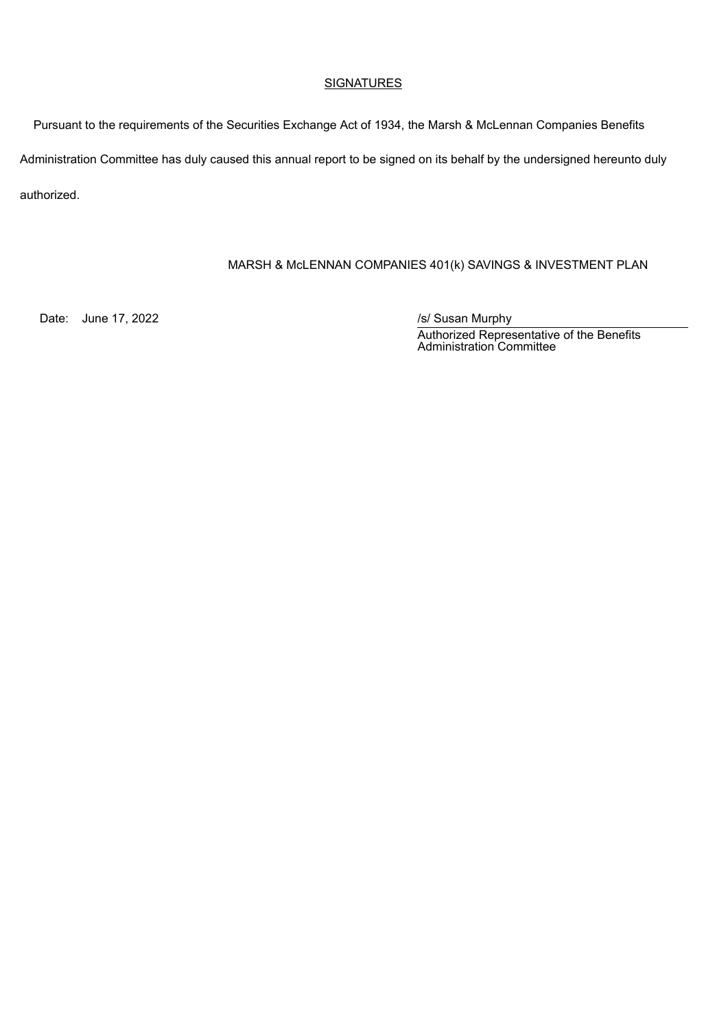#### **SIGNATURES**

Pursuant to the requirements of the Securities Exchange Act of 1934, the Marsh & McLennan Companies Benefits Administration Committee has duly caused this annual report to be signed on its behalf by the undersigned hereunto duly authorized.

# MARSH & McLENNAN COMPANIES 401(k) SAVINGS & INVESTMENT PLAN

Date: June 17, 2022 *Date: June 17, 2022* 

Authorized Representative of the Benefits Administration Committee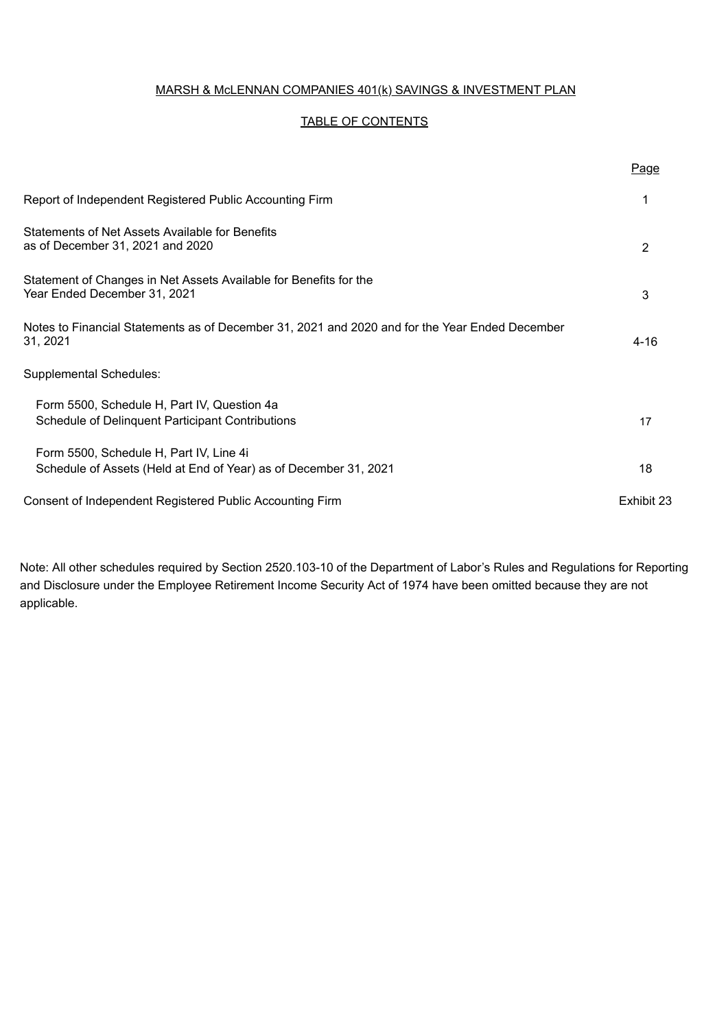#### MARSH & McLENNAN COMPANIES 401(k) SAVINGS & INVESTMENT PLAN

#### TABLE OF CONTENTS

|                                                                                                             | Page           |
|-------------------------------------------------------------------------------------------------------------|----------------|
| Report of Independent Registered Public Accounting Firm                                                     |                |
| <b>Statements of Net Assets Available for Benefits</b><br>as of December 31, 2021 and 2020                  | $\overline{2}$ |
| Statement of Changes in Net Assets Available for Benefits for the<br>Year Ended December 31, 2021           | 3              |
| Notes to Financial Statements as of December 31, 2021 and 2020 and for the Year Ended December<br>31. 2021  | 4-16           |
| Supplemental Schedules:                                                                                     |                |
| Form 5500, Schedule H, Part IV, Question 4a<br>Schedule of Delinquent Participant Contributions             | 17             |
| Form 5500, Schedule H, Part IV, Line 4i<br>Schedule of Assets (Held at End of Year) as of December 31, 2021 | 18             |
| Consent of Independent Registered Public Accounting Firm                                                    | Exhibit 23     |

Note: All other schedules required by Section 2520.103-10 of the Department of Labor's Rules and Regulations for Reporting and Disclosure under the Employee Retirement Income Security Act of 1974 have been omitted because they are not applicable.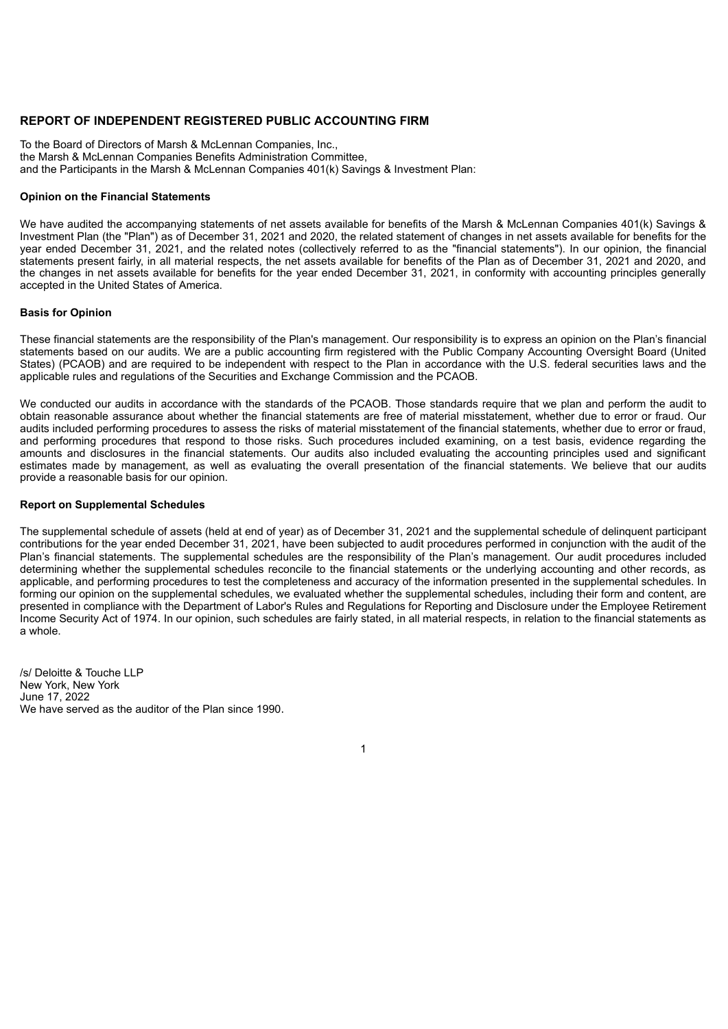#### **REPORT OF INDEPENDENT REGISTERED PUBLIC ACCOUNTING FIRM**

To the Board of Directors of Marsh & McLennan Companies, Inc., the Marsh & McLennan Companies Benefits Administration Committee, and the Participants in the Marsh & McLennan Companies 401(k) Savings & Investment Plan:

#### **Opinion on the Financial Statements**

We have audited the accompanying statements of net assets available for benefits of the Marsh & McLennan Companies 401(k) Savings & Investment Plan (the "Plan") as of December 31, 2021 and 2020, the related statement of changes in net assets available for benefits for the year ended December 31, 2021, and the related notes (collectively referred to as the "financial statements"). In our opinion, the financial statements present fairly, in all material respects, the net assets available for benefits of the Plan as of December 31, 2021 and 2020, and the changes in net assets available for benefits for the year ended December 31, 2021, in conformity with accounting principles generally accepted in the United States of America.

#### **Basis for Opinion**

These financial statements are the responsibility of the Plan's management. Our responsibility is to express an opinion on the Plan's financial statements based on our audits. We are a public accounting firm registered with the Public Company Accounting Oversight Board (United States) (PCAOB) and are required to be independent with respect to the Plan in accordance with the U.S. federal securities laws and the applicable rules and regulations of the Securities and Exchange Commission and the PCAOB.

We conducted our audits in accordance with the standards of the PCAOB. Those standards require that we plan and perform the audit to obtain reasonable assurance about whether the financial statements are free of material misstatement, whether due to error or fraud. Our audits included performing procedures to assess the risks of material misstatement of the financial statements, whether due to error or fraud, and performing procedures that respond to those risks. Such procedures included examining, on a test basis, evidence regarding the amounts and disclosures in the financial statements. Our audits also included evaluating the accounting principles used and significant estimates made by management, as well as evaluating the overall presentation of the financial statements. We believe that our audits provide a reasonable basis for our opinion.

#### **Report on Supplemental Schedules**

The supplemental schedule of assets (held at end of year) as of December 31, 2021 and the supplemental schedule of delinquent participant contributions for the year ended December 31, 2021, have been subjected to audit procedures performed in conjunction with the audit of the Plan's financial statements. The supplemental schedules are the responsibility of the Plan's management. Our audit procedures included determining whether the supplemental schedules reconcile to the financial statements or the underlying accounting and other records, as applicable, and performing procedures to test the completeness and accuracy of the information presented in the supplemental schedules. In forming our opinion on the supplemental schedules, we evaluated whether the supplemental schedules, including their form and content, are presented in compliance with the Department of Labor's Rules and Regulations for Reporting and Disclosure under the Employee Retirement Income Security Act of 1974. In our opinion, such schedules are fairly stated, in all material respects, in relation to the financial statements as a whole.

1

/s/ Deloitte & Touche LLP New York, New York June 17, 2022 We have served as the auditor of the Plan since 1990.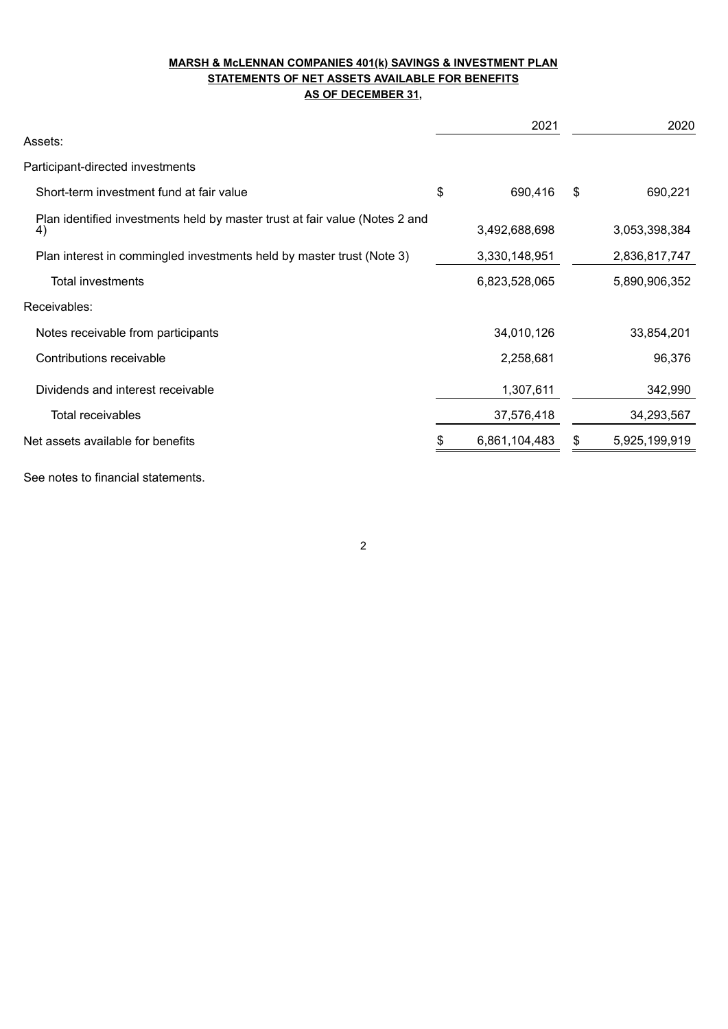### **MARSH & McLENNAN COMPANIES 401(k) SAVINGS & INVESTMENT PLAN STATEMENTS OF NET ASSETS AVAILABLE FOR BENEFITS AS OF DECEMBER 31,**

|                                                                                   |    | 2021          | 2020                |
|-----------------------------------------------------------------------------------|----|---------------|---------------------|
| Assets:                                                                           |    |               |                     |
| Participant-directed investments                                                  |    |               |                     |
| Short-term investment fund at fair value                                          | \$ | 690,416       | \$<br>690,221       |
| Plan identified investments held by master trust at fair value (Notes 2 and<br>4) |    | 3,492,688,698 | 3,053,398,384       |
| Plan interest in commingled investments held by master trust (Note 3)             |    | 3,330,148,951 | 2,836,817,747       |
| Total investments                                                                 |    | 6,823,528,065 | 5,890,906,352       |
| Receivables:                                                                      |    |               |                     |
| Notes receivable from participants                                                |    | 34,010,126    | 33,854,201          |
| Contributions receivable                                                          |    | 2,258,681     | 96,376              |
| Dividends and interest receivable                                                 |    | 1,307,611     | 342,990             |
| <b>Total receivables</b>                                                          |    | 37,576,418    | 34,293,567          |
| Net assets available for benefits                                                 | S  | 6,861,104,483 | \$<br>5,925,199,919 |
| See notes to financial statements.                                                |    |               |                     |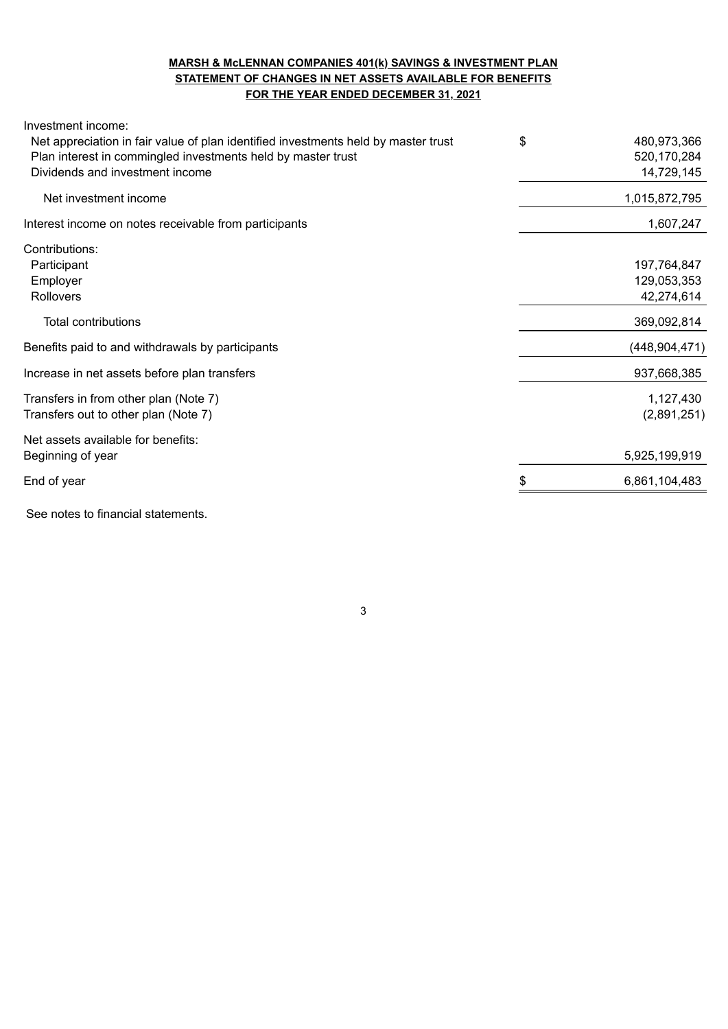### **MARSH & McLENNAN COMPANIES 401(k) SAVINGS & INVESTMENT PLAN STATEMENT OF CHANGES IN NET ASSETS AVAILABLE FOR BENEFITS FOR THE YEAR ENDED DECEMBER 31, 2021**

| Investment income:                                                                 |                     |
|------------------------------------------------------------------------------------|---------------------|
| Net appreciation in fair value of plan identified investments held by master trust | \$<br>480,973,366   |
| Plan interest in commingled investments held by master trust                       | 520,170,284         |
| Dividends and investment income                                                    | 14,729,145          |
| Net investment income                                                              | 1,015,872,795       |
| Interest income on notes receivable from participants                              | 1,607,247           |
| Contributions:                                                                     |                     |
| Participant                                                                        | 197,764,847         |
| Employer                                                                           | 129,053,353         |
| Rollovers                                                                          | 42,274,614          |
| <b>Total contributions</b>                                                         | 369,092,814         |
| Benefits paid to and withdrawals by participants                                   | (448, 904, 471)     |
| Increase in net assets before plan transfers                                       | 937,668,385         |
| Transfers in from other plan (Note 7)                                              | 1,127,430           |
| Transfers out to other plan (Note 7)                                               | (2,891,251)         |
| Net assets available for benefits:                                                 |                     |
| Beginning of year                                                                  | 5,925,199,919       |
| End of year                                                                        | \$<br>6,861,104,483 |
| See notes to financial statements.                                                 |                     |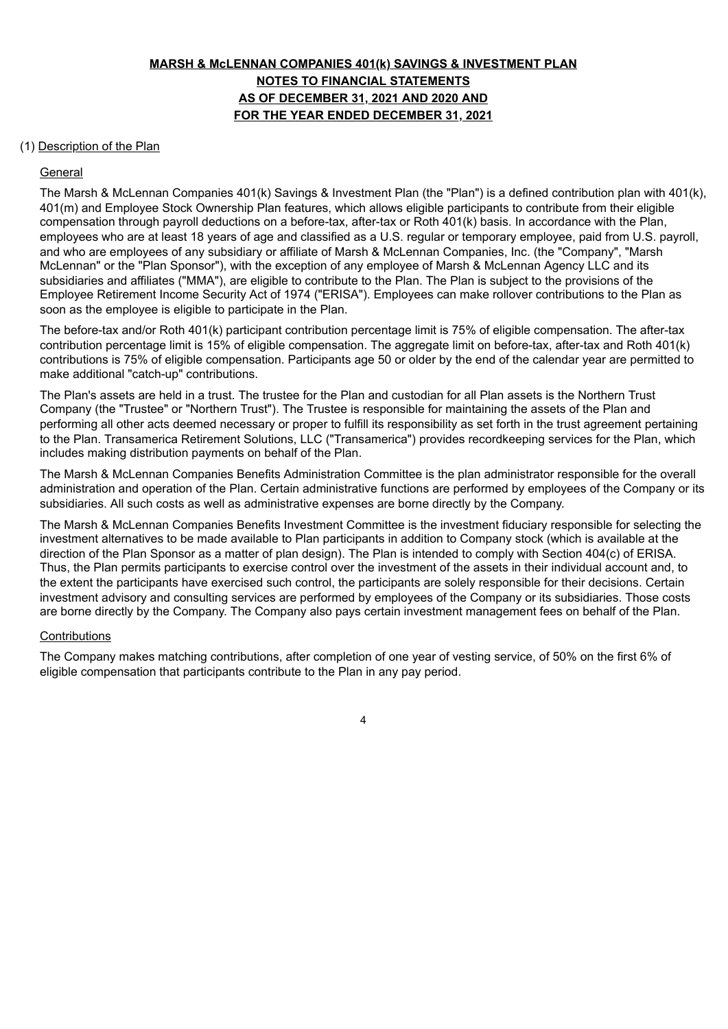# **MARSH & McLENNAN COMPANIES 401(k) SAVINGS & INVESTMENT PLAN NOTES TO FINANCIAL STATEMENTS AS OF DECEMBER 31, 2021 AND 2020 AND FOR THE YEAR ENDED DECEMBER 31, 2021**

#### (1) Description of the Plan

#### General

The Marsh & McLennan Companies 401(k) Savings & Investment Plan (the "Plan") is a defined contribution plan with 401(k), 401(m) and Employee Stock Ownership Plan features, which allows eligible participants to contribute from their eligible compensation through payroll deductions on a before-tax, after-tax or Roth 401(k) basis. In accordance with the Plan, employees who are at least 18 years of age and classified as a U.S. regular or temporary employee, paid from U.S. payroll, and who are employees of any subsidiary or affiliate of Marsh & McLennan Companies, Inc. (the "Company", "Marsh McLennan" or the "Plan Sponsor"), with the exception of any employee of Marsh & McLennan Agency LLC and its subsidiaries and affiliates ("MMA"), are eligible to contribute to the Plan. The Plan is subject to the provisions of the Employee Retirement Income Security Act of 1974 ("ERISA"). Employees can make rollover contributions to the Plan as soon as the employee is eligible to participate in the Plan.

The before-tax and/or Roth 401(k) participant contribution percentage limit is 75% of eligible compensation. The after-tax contribution percentage limit is 15% of eligible compensation. The aggregate limit on before-tax, after-tax and Roth 401(k) contributions is 75% of eligible compensation. Participants age 50 or older by the end of the calendar year are permitted to make additional "catch-up" contributions.

The Plan's assets are held in a trust. The trustee for the Plan and custodian for all Plan assets is the Northern Trust Company (the "Trustee" or "Northern Trust"). The Trustee is responsible for maintaining the assets of the Plan and performing all other acts deemed necessary or proper to fulfill its responsibility as set forth in the trust agreement pertaining to the Plan. Transamerica Retirement Solutions, LLC ("Transamerica") provides recordkeeping services for the Plan, which includes making distribution payments on behalf of the Plan.

The Marsh & McLennan Companies Benefits Administration Committee is the plan administrator responsible for the overall administration and operation of the Plan. Certain administrative functions are performed by employees of the Company or its subsidiaries. All such costs as well as administrative expenses are borne directly by the Company.

The Marsh & McLennan Companies Benefits Investment Committee is the investment fiduciary responsible for selecting the investment alternatives to be made available to Plan participants in addition to Company stock (which is available at the direction of the Plan Sponsor as a matter of plan design). The Plan is intended to comply with Section 404(c) of ERISA. Thus, the Plan permits participants to exercise control over the investment of the assets in their individual account and, to the extent the participants have exercised such control, the participants are solely responsible for their decisions. Certain investment advisory and consulting services are performed by employees of the Company or its subsidiaries. Those costs are borne directly by the Company. The Company also pays certain investment management fees on behalf of the Plan.

#### **Contributions**

The Company makes matching contributions, after completion of one year of vesting service, of 50% on the first 6% of eligible compensation that participants contribute to the Plan in any pay period.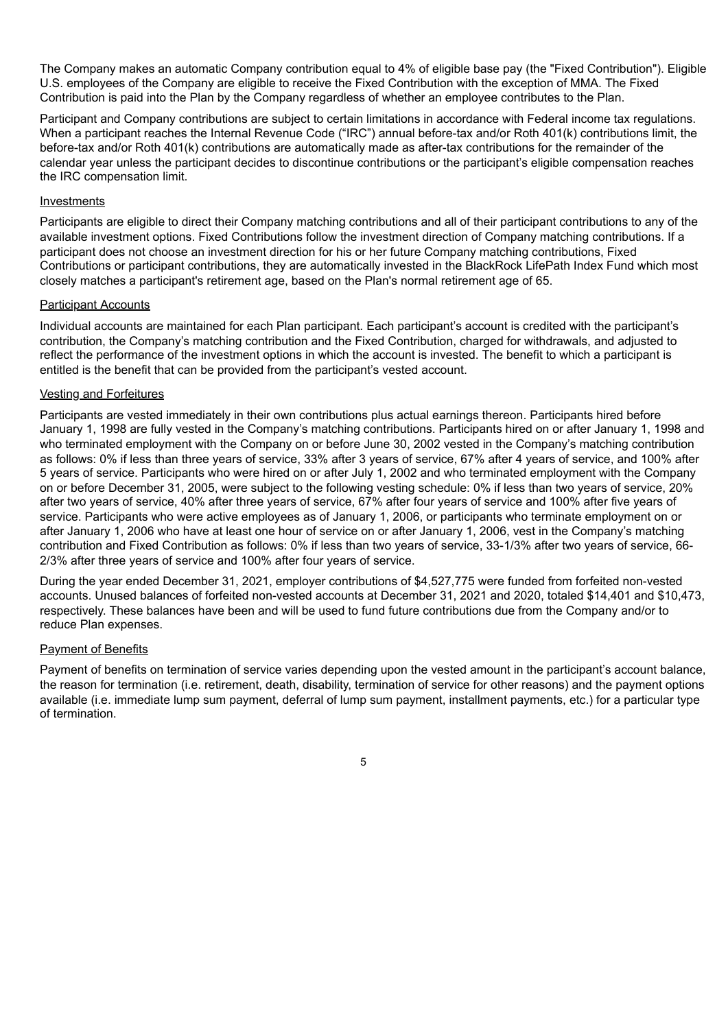The Company makes an automatic Company contribution equal to 4% of eligible base pay (the "Fixed Contribution"). Eligible U.S. employees of the Company are eligible to receive the Fixed Contribution with the exception of MMA. The Fixed Contribution is paid into the Plan by the Company regardless of whether an employee contributes to the Plan.

Participant and Company contributions are subject to certain limitations in accordance with Federal income tax regulations. When a participant reaches the Internal Revenue Code ("IRC") annual before-tax and/or Roth 401(k) contributions limit, the before-tax and/or Roth 401(k) contributions are automatically made as after-tax contributions for the remainder of the calendar year unless the participant decides to discontinue contributions or the participant's eligible compensation reaches the IRC compensation limit.

#### Investments

Participants are eligible to direct their Company matching contributions and all of their participant contributions to any of the available investment options. Fixed Contributions follow the investment direction of Company matching contributions. If a participant does not choose an investment direction for his or her future Company matching contributions, Fixed Contributions or participant contributions, they are automatically invested in the BlackRock LifePath Index Fund which most closely matches a participant's retirement age, based on the Plan's normal retirement age of 65.

#### Participant Accounts

Individual accounts are maintained for each Plan participant. Each participant's account is credited with the participant's contribution, the Company's matching contribution and the Fixed Contribution, charged for withdrawals, and adjusted to reflect the performance of the investment options in which the account is invested. The benefit to which a participant is entitled is the benefit that can be provided from the participant's vested account.

#### Vesting and Forfeitures

Participants are vested immediately in their own contributions plus actual earnings thereon. Participants hired before January 1, 1998 are fully vested in the Company's matching contributions. Participants hired on or after January 1, 1998 and who terminated employment with the Company on or before June 30, 2002 vested in the Company's matching contribution as follows: 0% if less than three years of service, 33% after 3 years of service, 67% after 4 years of service, and 100% after 5 years of service. Participants who were hired on or after July 1, 2002 and who terminated employment with the Company on or before December 31, 2005, were subject to the following vesting schedule: 0% if less than two years of service, 20% after two years of service, 40% after three years of service, 67% after four years of service and 100% after five years of service. Participants who were active employees as of January 1, 2006, or participants who terminate employment on or after January 1, 2006 who have at least one hour of service on or after January 1, 2006, vest in the Company's matching contribution and Fixed Contribution as follows: 0% if less than two years of service, 33-1/3% after two years of service, 66- 2/3% after three years of service and 100% after four years of service.

During the year ended December 31, 2021, employer contributions of \$4,527,775 were funded from forfeited non-vested accounts. Unused balances of forfeited non-vested accounts at December 31, 2021 and 2020, totaled \$14,401 and \$10,473, respectively. These balances have been and will be used to fund future contributions due from the Company and/or to reduce Plan expenses.

#### Payment of Benefits

Payment of benefits on termination of service varies depending upon the vested amount in the participant's account balance, the reason for termination (i.e. retirement, death, disability, termination of service for other reasons) and the payment options available (i.e. immediate lump sum payment, deferral of lump sum payment, installment payments, etc.) for a particular type of termination.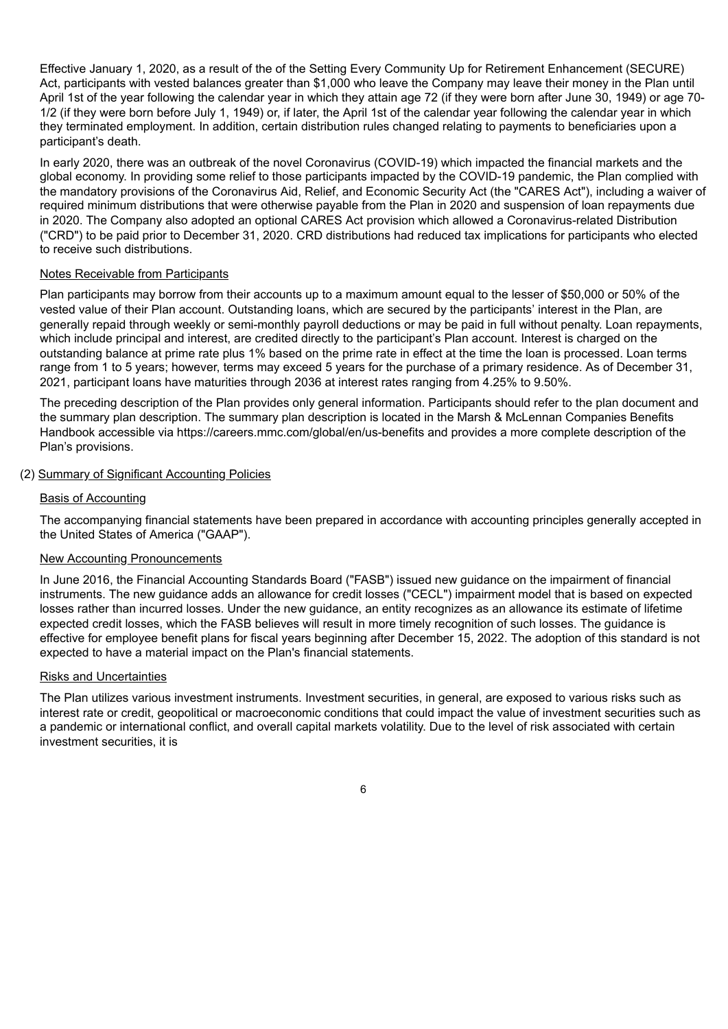Effective January 1, 2020, as a result of the of the Setting Every Community Up for Retirement Enhancement (SECURE) Act, participants with vested balances greater than \$1,000 who leave the Company may leave their money in the Plan until April 1st of the year following the calendar year in which they attain age 72 (if they were born after June 30, 1949) or age 70- 1/2 (if they were born before July 1, 1949) or, if later, the April 1st of the calendar year following the calendar year in which they terminated employment. In addition, certain distribution rules changed relating to payments to beneficiaries upon a participant's death.

In early 2020, there was an outbreak of the novel Coronavirus (COVID-19) which impacted the financial markets and the global economy. In providing some relief to those participants impacted by the COVID-19 pandemic, the Plan complied with the mandatory provisions of the Coronavirus Aid, Relief, and Economic Security Act (the "CARES Act"), including a waiver of required minimum distributions that were otherwise payable from the Plan in 2020 and suspension of loan repayments due in 2020. The Company also adopted an optional CARES Act provision which allowed a Coronavirus-related Distribution ("CRD") to be paid prior to December 31, 2020. CRD distributions had reduced tax implications for participants who elected to receive such distributions.

#### Notes Receivable from Participants

Plan participants may borrow from their accounts up to a maximum amount equal to the lesser of \$50,000 or 50% of the vested value of their Plan account. Outstanding loans, which are secured by the participants' interest in the Plan, are generally repaid through weekly or semi-monthly payroll deductions or may be paid in full without penalty. Loan repayments, which include principal and interest, are credited directly to the participant's Plan account. Interest is charged on the outstanding balance at prime rate plus 1% based on the prime rate in effect at the time the loan is processed. Loan terms range from 1 to 5 years; however, terms may exceed 5 years for the purchase of a primary residence. As of December 31, 2021, participant loans have maturities through 2036 at interest rates ranging from 4.25% to 9.50%.

The preceding description of the Plan provides only general information. Participants should refer to the plan document and the summary plan description. The summary plan description is located in the Marsh & McLennan Companies Benefits Handbook accessible via https://careers.mmc.com/global/en/us-benefits and provides a more complete description of the Plan's provisions.

## (2) Summary of Significant Accounting Policies

#### Basis of Accounting

The accompanying financial statements have been prepared in accordance with accounting principles generally accepted in the United States of America ("GAAP").

#### New Accounting Pronouncements

In June 2016, the Financial Accounting Standards Board ("FASB") issued new guidance on the impairment of financial instruments. The new guidance adds an allowance for credit losses ("CECL") impairment model that is based on expected losses rather than incurred losses. Under the new guidance, an entity recognizes as an allowance its estimate of lifetime expected credit losses, which the FASB believes will result in more timely recognition of such losses. The guidance is effective for employee benefit plans for fiscal years beginning after December 15, 2022. The adoption of this standard is not expected to have a material impact on the Plan's financial statements.

#### Risks and Uncertainties

The Plan utilizes various investment instruments. Investment securities, in general, are exposed to various risks such as interest rate or credit, geopolitical or macroeconomic conditions that could impact the value of investment securities such as a pandemic or international conflict, and overall capital markets volatility. Due to the level of risk associated with certain investment securities, it is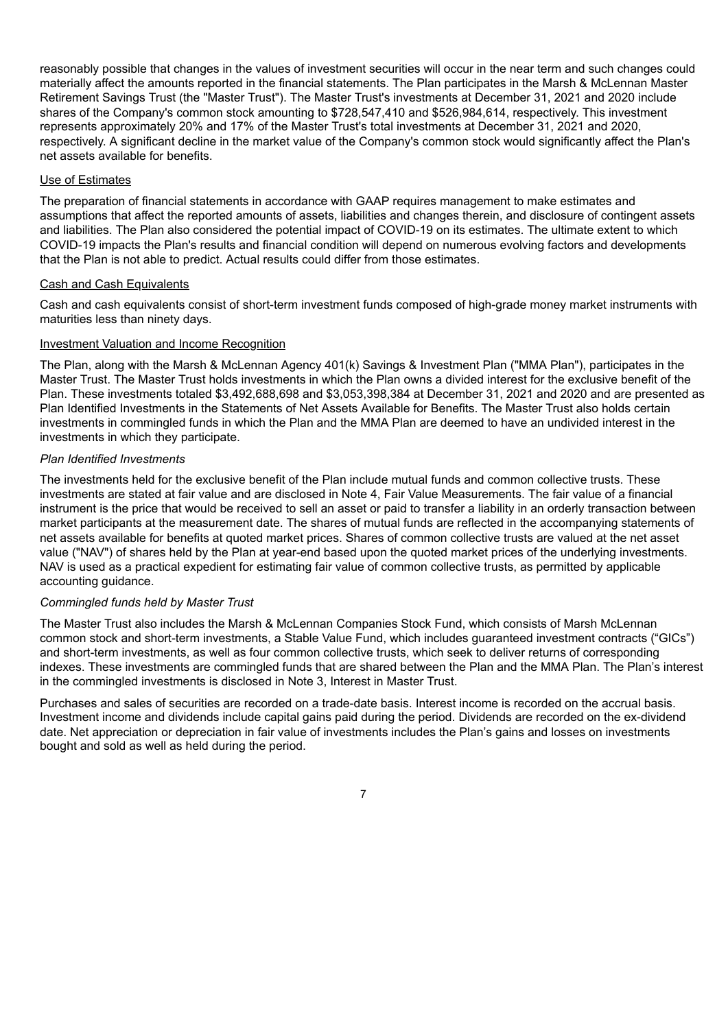reasonably possible that changes in the values of investment securities will occur in the near term and such changes could materially affect the amounts reported in the financial statements. The Plan participates in the Marsh & McLennan Master Retirement Savings Trust (the "Master Trust"). The Master Trust's investments at December 31, 2021 and 2020 include shares of the Company's common stock amounting to \$728,547,410 and \$526,984,614, respectively. This investment represents approximately 20% and 17% of the Master Trust's total investments at December 31, 2021 and 2020, respectively. A significant decline in the market value of the Company's common stock would significantly affect the Plan's net assets available for benefits.

#### Use of Estimates

The preparation of financial statements in accordance with GAAP requires management to make estimates and assumptions that affect the reported amounts of assets, liabilities and changes therein, and disclosure of contingent assets and liabilities. The Plan also considered the potential impact of COVID-19 on its estimates. The ultimate extent to which COVID-19 impacts the Plan's results and financial condition will depend on numerous evolving factors and developments that the Plan is not able to predict. Actual results could differ from those estimates.

#### Cash and Cash Equivalents

Cash and cash equivalents consist of short-term investment funds composed of high-grade money market instruments with maturities less than ninety days.

#### Investment Valuation and Income Recognition

The Plan, along with the Marsh & McLennan Agency 401(k) Savings & Investment Plan ("MMA Plan"), participates in the Master Trust. The Master Trust holds investments in which the Plan owns a divided interest for the exclusive benefit of the Plan. These investments totaled \$3,492,688,698 and \$3,053,398,384 at December 31, 2021 and 2020 and are presented as Plan Identified Investments in the Statements of Net Assets Available for Benefits. The Master Trust also holds certain investments in commingled funds in which the Plan and the MMA Plan are deemed to have an undivided interest in the investments in which they participate.

#### *Plan Identified Investments*

The investments held for the exclusive benefit of the Plan include mutual funds and common collective trusts. These investments are stated at fair value and are disclosed in Note 4, Fair Value Measurements. The fair value of a financial instrument is the price that would be received to sell an asset or paid to transfer a liability in an orderly transaction between market participants at the measurement date. The shares of mutual funds are reflected in the accompanying statements of net assets available for benefits at quoted market prices. Shares of common collective trusts are valued at the net asset value ("NAV") of shares held by the Plan at year-end based upon the quoted market prices of the underlying investments. NAV is used as a practical expedient for estimating fair value of common collective trusts, as permitted by applicable accounting guidance.

#### *Commingled funds held by Master Trust*

The Master Trust also includes the Marsh & McLennan Companies Stock Fund, which consists of Marsh McLennan common stock and short-term investments, a Stable Value Fund, which includes guaranteed investment contracts ("GICs") and short-term investments, as well as four common collective trusts, which seek to deliver returns of corresponding indexes. These investments are commingled funds that are shared between the Plan and the MMA Plan. The Plan's interest in the commingled investments is disclosed in Note 3, Interest in Master Trust.

Purchases and sales of securities are recorded on a trade-date basis. Interest income is recorded on the accrual basis. Investment income and dividends include capital gains paid during the period. Dividends are recorded on the ex-dividend date. Net appreciation or depreciation in fair value of investments includes the Plan's gains and losses on investments bought and sold as well as held during the period.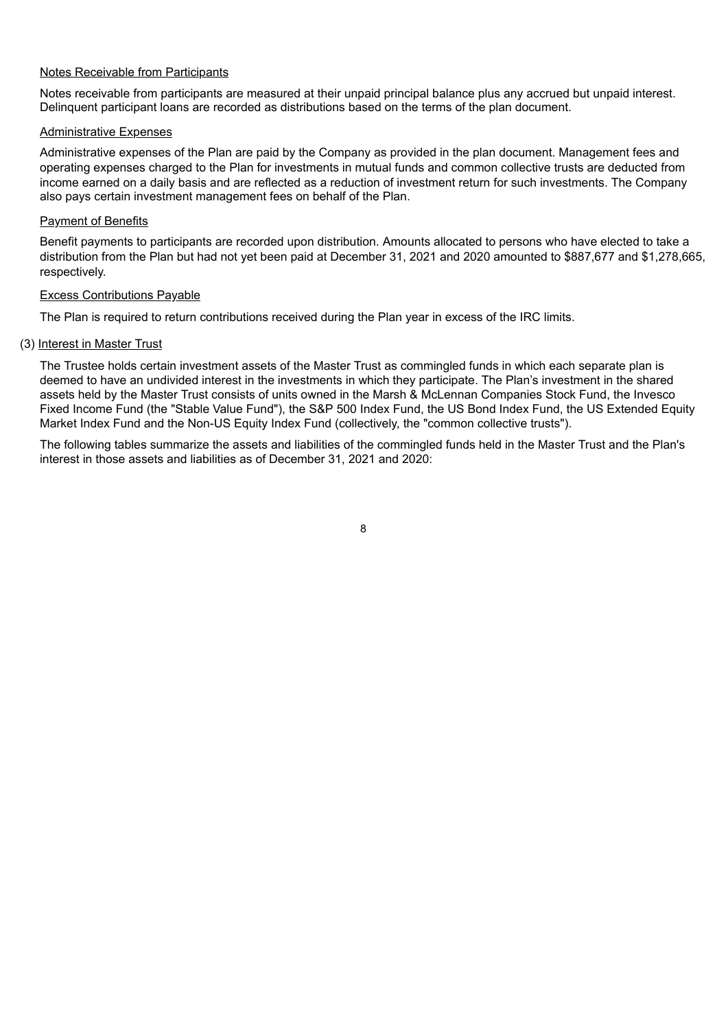#### Notes Receivable from Participants

Notes receivable from participants are measured at their unpaid principal balance plus any accrued but unpaid interest. Delinquent participant loans are recorded as distributions based on the terms of the plan document.

#### Administrative Expenses

Administrative expenses of the Plan are paid by the Company as provided in the plan document. Management fees and operating expenses charged to the Plan for investments in mutual funds and common collective trusts are deducted from income earned on a daily basis and are reflected as a reduction of investment return for such investments. The Company also pays certain investment management fees on behalf of the Plan.

#### **Payment of Benefits**

Benefit payments to participants are recorded upon distribution. Amounts allocated to persons who have elected to take a distribution from the Plan but had not yet been paid at December 31, 2021 and 2020 amounted to \$887,677 and \$1,278,665, respectively.

#### Excess Contributions Payable

The Plan is required to return contributions received during the Plan year in excess of the IRC limits.

#### (3) Interest in Master Trust

The Trustee holds certain investment assets of the Master Trust as commingled funds in which each separate plan is deemed to have an undivided interest in the investments in which they participate. The Plan's investment in the shared assets held by the Master Trust consists of units owned in the Marsh & McLennan Companies Stock Fund, the Invesco Fixed Income Fund (the "Stable Value Fund"), the S&P 500 Index Fund, the US Bond Index Fund, the US Extended Equity Market Index Fund and the Non-US Equity Index Fund (collectively, the "common collective trusts").

The following tables summarize the assets and liabilities of the commingled funds held in the Master Trust and the Plan's interest in those assets and liabilities as of December 31, 2021 and 2020: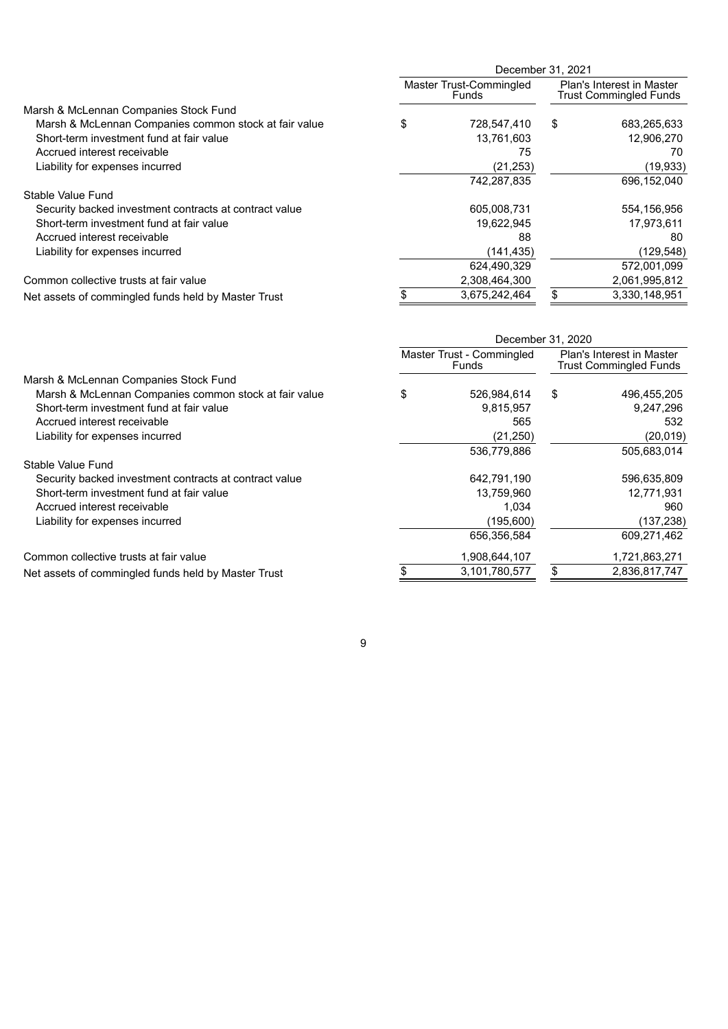|                                                        | December 31, 2021 |                                  |    |                                                            |  |  |  |  |  |
|--------------------------------------------------------|-------------------|----------------------------------|----|------------------------------------------------------------|--|--|--|--|--|
|                                                        |                   | Master Trust-Commingled<br>Funds |    | Plan's Interest in Master<br><b>Trust Commingled Funds</b> |  |  |  |  |  |
| Marsh & McLennan Companies Stock Fund                  |                   |                                  |    |                                                            |  |  |  |  |  |
| Marsh & McLennan Companies common stock at fair value  | \$                | 728,547,410                      | \$ | 683,265,633                                                |  |  |  |  |  |
| Short-term investment fund at fair value               |                   | 13,761,603                       |    | 12,906,270                                                 |  |  |  |  |  |
| Accrued interest receivable                            |                   | 75                               |    | 70                                                         |  |  |  |  |  |
| Liability for expenses incurred                        |                   | (21, 253)                        |    | (19, 933)                                                  |  |  |  |  |  |
|                                                        |                   | 742.287.835                      |    | 696.152.040                                                |  |  |  |  |  |
| Stable Value Fund                                      |                   |                                  |    |                                                            |  |  |  |  |  |
| Security backed investment contracts at contract value |                   | 605,008,731                      |    | 554,156,956                                                |  |  |  |  |  |
| Short-term investment fund at fair value               |                   | 19,622,945                       |    | 17,973,611                                                 |  |  |  |  |  |
| Accrued interest receivable                            |                   | 88                               |    | 80                                                         |  |  |  |  |  |
| Liability for expenses incurred                        |                   | (141, 435)                       |    | (129,548)                                                  |  |  |  |  |  |
|                                                        |                   | 624,490,329                      |    | 572,001,099                                                |  |  |  |  |  |
| Common collective trusts at fair value                 |                   | 2,308,464,300                    |    | 2,061,995,812                                              |  |  |  |  |  |
| Net assets of commingled funds held by Master Trust    |                   | 3,675,242,464                    |    | 3,330,148,951                                              |  |  |  |  |  |

|                                                        | December 31, 2020 |                                    |    |                                                            |  |  |  |
|--------------------------------------------------------|-------------------|------------------------------------|----|------------------------------------------------------------|--|--|--|
|                                                        |                   | Master Trust - Commingled<br>Funds |    | Plan's Interest in Master<br><b>Trust Commingled Funds</b> |  |  |  |
| Marsh & McLennan Companies Stock Fund                  |                   |                                    |    |                                                            |  |  |  |
| Marsh & McLennan Companies common stock at fair value  | \$                | 526,984,614                        | \$ | 496,455,205                                                |  |  |  |
| Short-term investment fund at fair value               |                   | 9,815,957                          |    | 9,247,296                                                  |  |  |  |
| Accrued interest receivable                            |                   | 565                                |    | 532                                                        |  |  |  |
| Liability for expenses incurred                        |                   | (21, 250)                          |    | (20, 019)                                                  |  |  |  |
|                                                        |                   | 536,779,886                        |    | 505,683,014                                                |  |  |  |
| Stable Value Fund                                      |                   |                                    |    |                                                            |  |  |  |
| Security backed investment contracts at contract value |                   | 642,791,190                        |    | 596,635,809                                                |  |  |  |
| Short-term investment fund at fair value               |                   | 13,759,960                         |    | 12,771,931                                                 |  |  |  |
| Accrued interest receivable                            |                   | 1.034                              |    | 960                                                        |  |  |  |
| Liability for expenses incurred                        |                   | (195,600)                          |    | (137, 238)                                                 |  |  |  |
|                                                        |                   | 656,356,584                        |    | 609,271,462                                                |  |  |  |
| Common collective trusts at fair value                 |                   | 1,908,644,107                      |    | 1,721,863,271                                              |  |  |  |
| Net assets of commingled funds held by Master Trust    |                   | 3.101.780.577                      | \$ | 2,836,817,747                                              |  |  |  |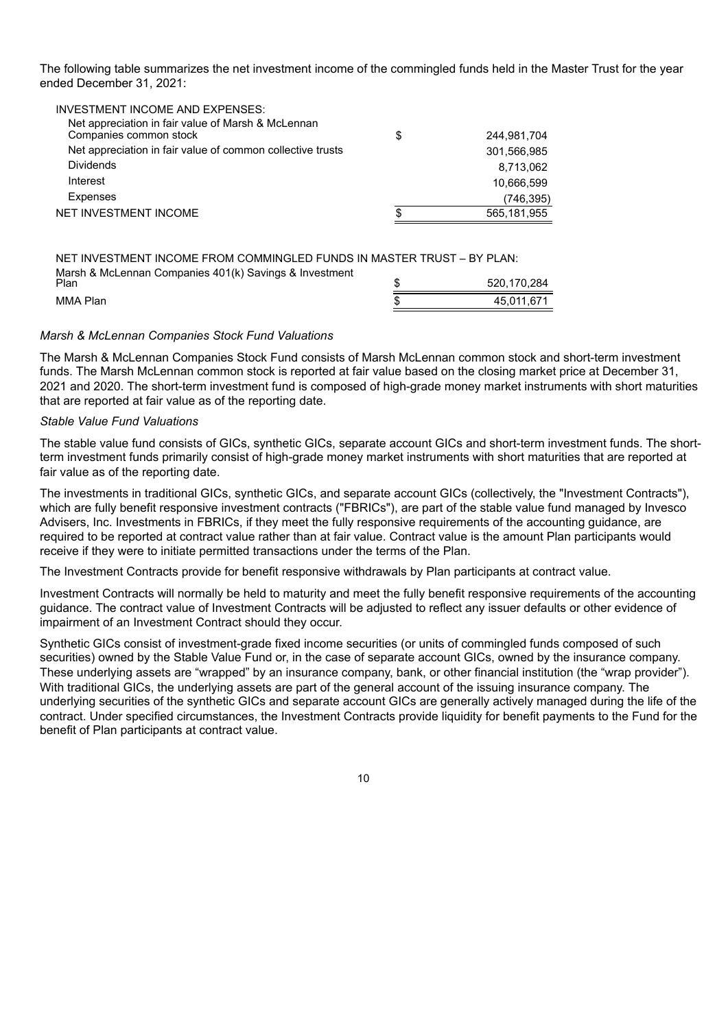The following table summarizes the net investment income of the commingled funds held in the Master Trust for the year ended December 31, 2021:

| <b>INVESTMENT INCOME AND EXPENSES:</b>                                       |    |             |
|------------------------------------------------------------------------------|----|-------------|
| Net appreciation in fair value of Marsh & McLennan<br>Companies common stock | \$ | 244.981.704 |
| Net appreciation in fair value of common collective trusts                   |    | 301.566.985 |
| <b>Dividends</b>                                                             |    | 8.713.062   |
| Interest                                                                     |    | 10.666.599  |
| Expenses                                                                     |    | (746,395)   |
| NET INVESTMENT INCOME                                                        | S  | 565,181,955 |
|                                                                              |    |             |

NET INVESTMENT INCOME FROM COMMINGLED FUNDS IN MASTER TRUST – BY PLAN: Marsh & McLennan Companies 401(k) Savings & Investment  $$520,170,284$ MMA Plan 45,011,671

#### *Marsh & McLennan Companies Stock Fund Valuations*

The Marsh & McLennan Companies Stock Fund consists of Marsh McLennan common stock and short-term investment funds. The Marsh McLennan common stock is reported at fair value based on the closing market price at December 31, 2021 and 2020. The short-term investment fund is composed of high-grade money market instruments with short maturities that are reported at fair value as of the reporting date.

#### *Stable Value Fund Valuations*

The stable value fund consists of GICs, synthetic GICs, separate account GICs and short-term investment funds. The shortterm investment funds primarily consist of high-grade money market instruments with short maturities that are reported at fair value as of the reporting date.

The investments in traditional GICs, synthetic GICs, and separate account GICs (collectively, the "Investment Contracts"), which are fully benefit responsive investment contracts ("FBRICs"), are part of the stable value fund managed by Invesco Advisers, Inc. Investments in FBRICs, if they meet the fully responsive requirements of the accounting guidance, are required to be reported at contract value rather than at fair value. Contract value is the amount Plan participants would receive if they were to initiate permitted transactions under the terms of the Plan.

The Investment Contracts provide for benefit responsive withdrawals by Plan participants at contract value.

Investment Contracts will normally be held to maturity and meet the fully benefit responsive requirements of the accounting guidance. The contract value of Investment Contracts will be adjusted to reflect any issuer defaults or other evidence of impairment of an Investment Contract should they occur.

Synthetic GICs consist of investment-grade fixed income securities (or units of commingled funds composed of such securities) owned by the Stable Value Fund or, in the case of separate account GICs, owned by the insurance company. These underlying assets are "wrapped" by an insurance company, bank, or other financial institution (the "wrap provider"). With traditional GICs, the underlying assets are part of the general account of the issuing insurance company. The underlying securities of the synthetic GICs and separate account GICs are generally actively managed during the life of the contract. Under specified circumstances, the Investment Contracts provide liquidity for benefit payments to the Fund for the benefit of Plan participants at contract value.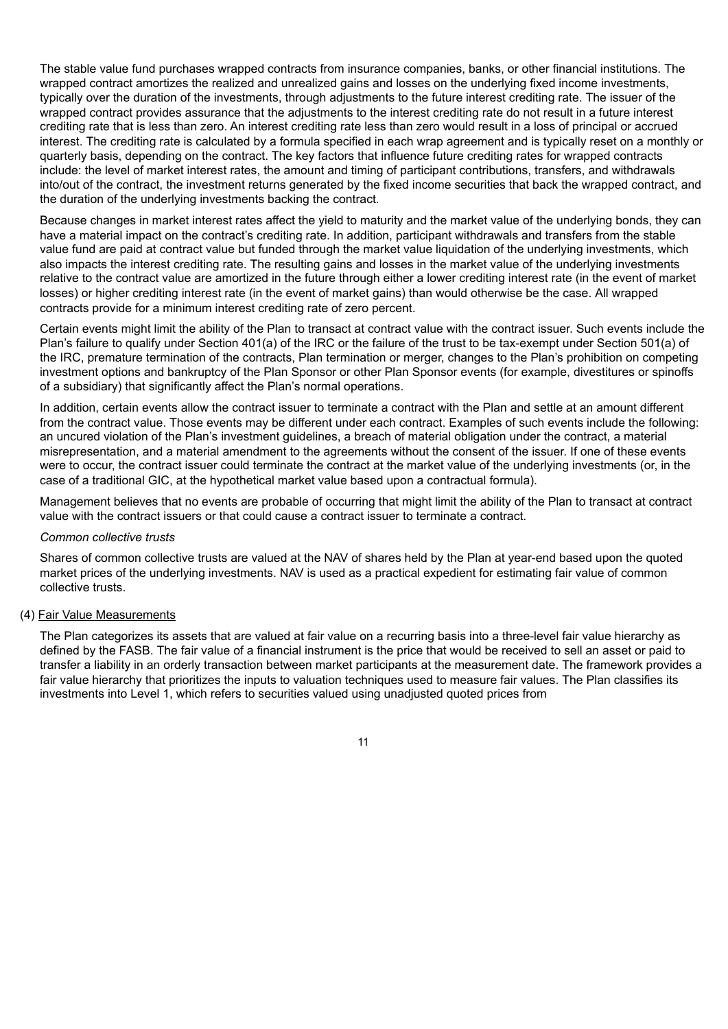The stable value fund purchases wrapped contracts from insurance companies, banks, or other financial institutions. The wrapped contract amortizes the realized and unrealized gains and losses on the underlying fixed income investments, typically over the duration of the investments, through adjustments to the future interest crediting rate. The issuer of the wrapped contract provides assurance that the adjustments to the interest crediting rate do not result in a future interest crediting rate that is less than zero. An interest crediting rate less than zero would result in a loss of principal or accrued interest. The crediting rate is calculated by a formula specified in each wrap agreement and is typically reset on a monthly or quarterly basis, depending on the contract. The key factors that influence future crediting rates for wrapped contracts include: the level of market interest rates, the amount and timing of participant contributions, transfers, and withdrawals into/out of the contract, the investment returns generated by the fixed income securities that back the wrapped contract, and the duration of the underlying investments backing the contract.

Because changes in market interest rates affect the yield to maturity and the market value of the underlying bonds, they can have a material impact on the contract's crediting rate. In addition, participant withdrawals and transfers from the stable value fund are paid at contract value but funded through the market value liquidation of the underlying investments, which also impacts the interest crediting rate. The resulting gains and losses in the market value of the underlying investments relative to the contract value are amortized in the future through either a lower crediting interest rate (in the event of market losses) or higher crediting interest rate (in the event of market gains) than would otherwise be the case. All wrapped contracts provide for a minimum interest crediting rate of zero percent.

Certain events might limit the ability of the Plan to transact at contract value with the contract issuer. Such events include the Plan's failure to qualify under Section 401(a) of the IRC or the failure of the trust to be tax-exempt under Section 501(a) of the IRC, premature termination of the contracts, Plan termination or merger, changes to the Plan's prohibition on competing investment options and bankruptcy of the Plan Sponsor or other Plan Sponsor events (for example, divestitures or spinoffs of a subsidiary) that significantly affect the Plan's normal operations.

In addition, certain events allow the contract issuer to terminate a contract with the Plan and settle at an amount different from the contract value. Those events may be different under each contract. Examples of such events include the following: an uncured violation of the Plan's investment guidelines, a breach of material obligation under the contract, a material misrepresentation, and a material amendment to the agreements without the consent of the issuer. If one of these events were to occur, the contract issuer could terminate the contract at the market value of the underlying investments (or, in the case of a traditional GIC, at the hypothetical market value based upon a contractual formula).

Management believes that no events are probable of occurring that might limit the ability of the Plan to transact at contract value with the contract issuers or that could cause a contract issuer to terminate a contract.

#### *Common collective trusts*

Shares of common collective trusts are valued at the NAV of shares held by the Plan at year-end based upon the quoted market prices of the underlying investments. NAV is used as a practical expedient for estimating fair value of common collective trusts.

#### (4) Fair Value Measurements

The Plan categorizes its assets that are valued at fair value on a recurring basis into a three-level fair value hierarchy as defined by the FASB. The fair value of a financial instrument is the price that would be received to sell an asset or paid to transfer a liability in an orderly transaction between market participants at the measurement date. The framework provides a fair value hierarchy that prioritizes the inputs to valuation techniques used to measure fair values. The Plan classifies its investments into Level 1, which refers to securities valued using unadjusted quoted prices from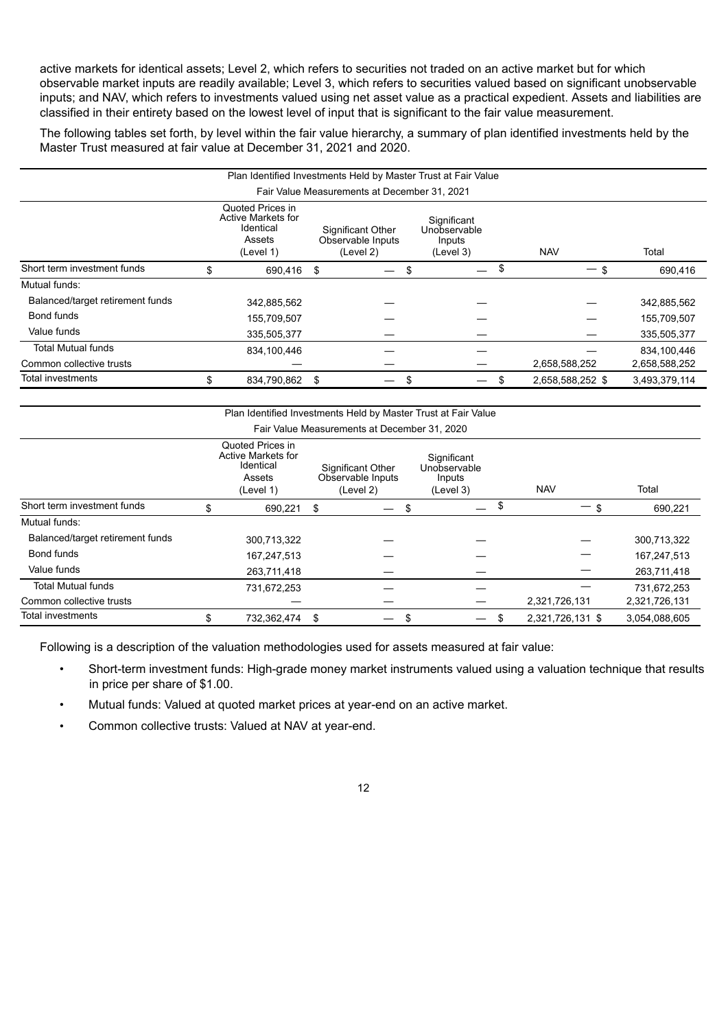active markets for identical assets; Level 2, which refers to securities not traded on an active market but for which observable market inputs are readily available; Level 3, which refers to securities valued based on significant unobservable inputs; and NAV, which refers to investments valued using net asset value as a practical expedient. Assets and liabilities are classified in their entirety based on the lowest level of input that is significant to the fair value measurement.

The following tables set forth, by level within the fair value hierarchy, a summary of plan identified investments held by the Master Trust measured at fair value at December 31, 2021 and 2020.

|                                                                                                                                                                                                                | Plan Identified Investments Held by Master Trust at Fair Value |             |    |  |     |  |    |                  |               |  |  |  |
|----------------------------------------------------------------------------------------------------------------------------------------------------------------------------------------------------------------|----------------------------------------------------------------|-------------|----|--|-----|--|----|------------------|---------------|--|--|--|
| Fair Value Measurements at December 31, 2021                                                                                                                                                                   |                                                                |             |    |  |     |  |    |                  |               |  |  |  |
| Quoted Prices in<br>Active Markets for<br>Significant<br>Identical<br>Significant Other<br>Unobservable<br>Assets<br>Observable Inputs<br>Inputs<br>Total<br>(Level 2)<br><b>NAV</b><br>(Level 1)<br>(Level 3) |                                                                |             |    |  |     |  |    |                  |               |  |  |  |
| Short term investment funds                                                                                                                                                                                    | \$                                                             | 690.416     | \$ |  | \$. |  | \$ |                  | 690,416       |  |  |  |
| Mutual funds:                                                                                                                                                                                                  |                                                                |             |    |  |     |  |    |                  |               |  |  |  |
| Balanced/target retirement funds                                                                                                                                                                               |                                                                | 342,885,562 |    |  |     |  |    |                  | 342,885,562   |  |  |  |
| Bond funds                                                                                                                                                                                                     |                                                                | 155,709,507 |    |  |     |  |    |                  | 155,709,507   |  |  |  |
| Value funds                                                                                                                                                                                                    |                                                                | 335,505,377 |    |  |     |  |    |                  | 335,505,377   |  |  |  |
| <b>Total Mutual funds</b>                                                                                                                                                                                      |                                                                | 834,100,446 |    |  |     |  |    |                  | 834,100,446   |  |  |  |
| Common collective trusts                                                                                                                                                                                       |                                                                |             |    |  |     |  |    | 2,658,588,252    | 2,658,588,252 |  |  |  |
| Total investments                                                                                                                                                                                              | \$                                                             | 834,790,862 | \$ |  | ъ   |  |    | 2,658,588,252 \$ | 3,493,379,114 |  |  |  |

|                                                                                                                                                                                                                |    | Plan Identified Investments Held by Master Trust at Fair Value |    |                                              |    |  |    |                  |               |  |  |  |
|----------------------------------------------------------------------------------------------------------------------------------------------------------------------------------------------------------------|----|----------------------------------------------------------------|----|----------------------------------------------|----|--|----|------------------|---------------|--|--|--|
|                                                                                                                                                                                                                |    |                                                                |    | Fair Value Measurements at December 31, 2020 |    |  |    |                  |               |  |  |  |
| Quoted Prices in<br>Active Markets for<br>Significant<br>Identical<br>Significant Other<br>Unobservable<br>Observable Inputs<br>Inputs<br>Assets<br>Total<br><b>NAV</b><br>(Level 2)<br>(Level 1)<br>(Level 3) |    |                                                                |    |                                              |    |  |    |                  |               |  |  |  |
| Short term investment funds                                                                                                                                                                                    |    | 690,221                                                        | \$ | —                                            | S  |  | \$ |                  | 690,221       |  |  |  |
| Mutual funds:                                                                                                                                                                                                  |    |                                                                |    |                                              |    |  |    |                  |               |  |  |  |
| Balanced/target retirement funds                                                                                                                                                                               |    | 300,713,322                                                    |    |                                              |    |  |    |                  | 300,713,322   |  |  |  |
| Bond funds                                                                                                                                                                                                     |    | 167,247,513                                                    |    |                                              |    |  |    |                  | 167,247,513   |  |  |  |
| Value funds                                                                                                                                                                                                    |    | 263,711,418                                                    |    |                                              |    |  |    |                  | 263,711,418   |  |  |  |
| <b>Total Mutual funds</b>                                                                                                                                                                                      |    | 731,672,253                                                    |    |                                              |    |  |    |                  | 731,672,253   |  |  |  |
| Common collective trusts                                                                                                                                                                                       |    |                                                                |    |                                              |    |  |    | 2,321,726,131    | 2,321,726,131 |  |  |  |
| Total investments                                                                                                                                                                                              | \$ | 732,362,474                                                    | \$ | –                                            | \$ |  | \$ | 2,321,726,131 \$ | 3.054.088.605 |  |  |  |

Following is a description of the valuation methodologies used for assets measured at fair value:

- Short-term investment funds: High-grade money market instruments valued using a valuation technique that results in price per share of \$1.00.
- Mutual funds: Valued at quoted market prices at year-end on an active market.
- Common collective trusts: Valued at NAV at year-end.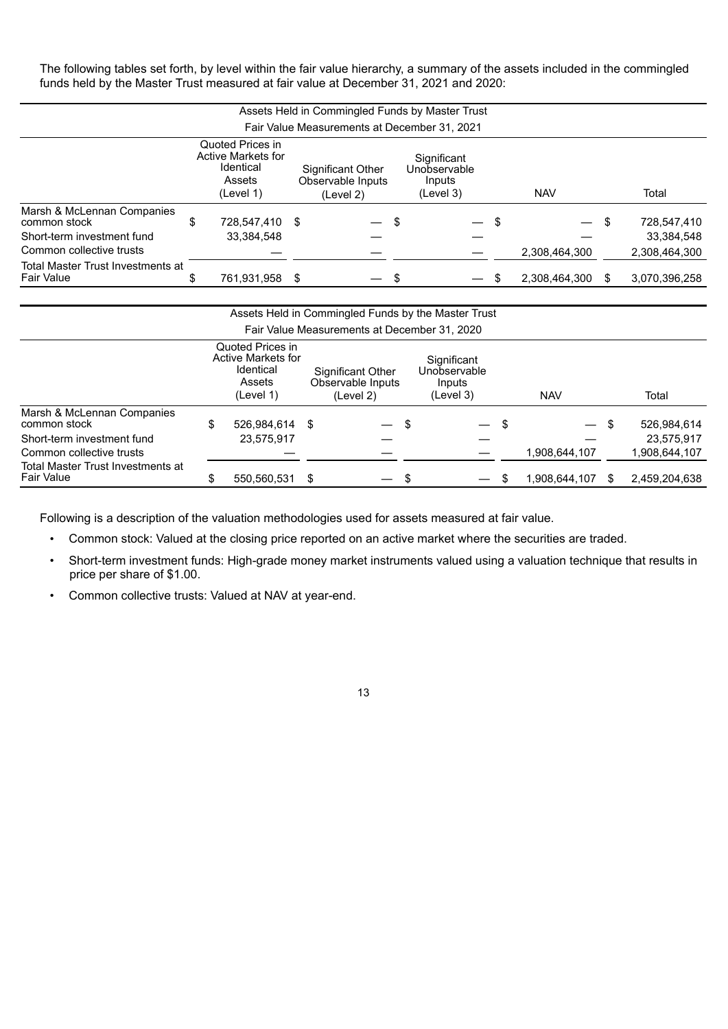The following tables set forth, by level within the fair value hierarchy, a summary of the assets included in the commingled funds held by the Master Trust measured at fair value at December 31, 2021 and 2020:

|                                                        | Assets Held in Commingled Funds by Master Trust |                                                                                   |   |                                                     |    |                                                    |  |                          |     |               |  |  |
|--------------------------------------------------------|-------------------------------------------------|-----------------------------------------------------------------------------------|---|-----------------------------------------------------|----|----------------------------------------------------|--|--------------------------|-----|---------------|--|--|
| Fair Value Measurements at December 31, 2021           |                                                 |                                                                                   |   |                                                     |    |                                                    |  |                          |     |               |  |  |
|                                                        |                                                 | Quoted Prices in<br><b>Active Markets for</b><br>Identical<br>Assets<br>(Level 1) |   | Significant Other<br>Observable Inputs<br>(Level 2) |    | Significant<br>Unobservable<br>Inputs<br>(Level 3) |  | <b>NAV</b>               |     | Total         |  |  |
| Marsh & McLennan Companies<br>common stock             | \$                                              | 728.547.410 \$                                                                    |   |                                                     | \$ | \$<br>$\overline{\phantom{0}}$                     |  | $\overline{\phantom{0}}$ | \$  | 728,547,410   |  |  |
| Short-term investment fund                             |                                                 | 33.384.548                                                                        |   |                                                     |    |                                                    |  |                          |     | 33,384,548    |  |  |
| Common collective trusts                               |                                                 |                                                                                   |   |                                                     |    |                                                    |  | 2,308,464,300            |     | 2,308,464,300 |  |  |
| Total Master Trust Investments at<br><b>Fair Value</b> |                                                 | 761,931,958                                                                       | S |                                                     | -S |                                                    |  | 2.308.464.300            | \$. | 3.070.396.258 |  |  |

|                                                        |                                                                            |     | Assets Held in Commingled Funds by the Master Trust |                                                    |      |               |   |               |
|--------------------------------------------------------|----------------------------------------------------------------------------|-----|-----------------------------------------------------|----------------------------------------------------|------|---------------|---|---------------|
|                                                        |                                                                            |     | Fair Value Measurements at December 31, 2020        |                                                    |      |               |   |               |
|                                                        | Quoted Prices in<br>Active Markets for<br>Identical<br>Assets<br>(Level 1) |     | Significant Other<br>Observable Inputs<br>(Level 2) | Significant<br>Unobservable<br>Inputs<br>(Level 3) |      | <b>NAV</b>    |   | Total         |
| Marsh & McLennan Companies<br>common stock             | \$<br>526.984.614 \$                                                       |     |                                                     | \$<br>$\overline{\phantom{0}}$                     | - \$ |               | S | 526,984,614   |
| Short-term investment fund                             | 23.575.917                                                                 |     |                                                     |                                                    |      |               |   | 23.575.917    |
| Common collective trusts                               |                                                                            |     |                                                     |                                                    |      | 1,908,644,107 |   | 1.908.644.107 |
| Total Master Trust Investments at<br><b>Fair Value</b> | 550.560.531                                                                | -SS |                                                     | \$                                                 |      | 1,908,644,107 |   | 2,459,204,638 |

Following is a description of the valuation methodologies used for assets measured at fair value.

• Common stock: Valued at the closing price reported on an active market where the securities are traded.

- Short-term investment funds: High-grade money market instruments valued using a valuation technique that results in price per share of \$1.00.
- Common collective trusts: Valued at NAV at year-end.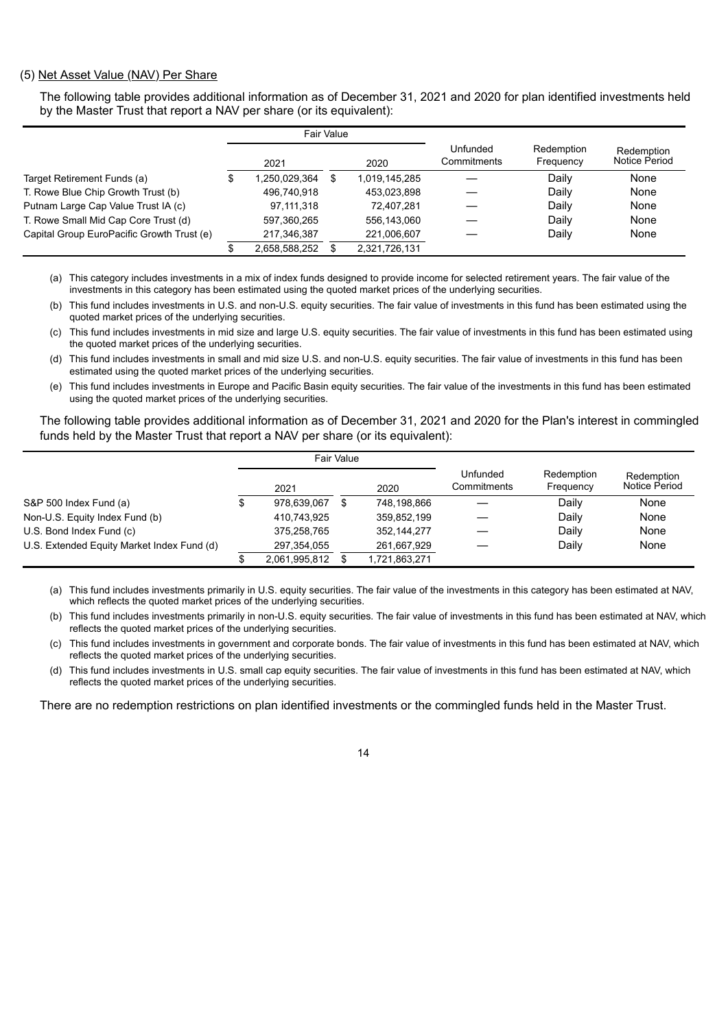#### (5) Net Asset Value (NAV) Per Share

The following table provides additional information as of December 31, 2021 and 2020 for plan identified investments held by the Master Trust that report a NAV per share (or its equivalent):

|                                            |  |               | Fair Value |               |                         |                         |                             |
|--------------------------------------------|--|---------------|------------|---------------|-------------------------|-------------------------|-----------------------------|
|                                            |  | 2021          |            | 2020          | Unfunded<br>Commitments | Redemption<br>Frequency | Redemption<br>Notice Period |
| Target Retirement Funds (a)                |  | 1,250,029,364 |            | 1,019,145,285 |                         | Daily                   | None                        |
| T. Rowe Blue Chip Growth Trust (b)         |  | 496,740,918   |            | 453,023,898   |                         | Daily                   | None                        |
| Putnam Large Cap Value Trust IA (c)        |  | 97,111,318    |            | 72,407,281    |                         | Daily                   | None                        |
| T. Rowe Small Mid Cap Core Trust (d)       |  | 597,360,265   |            | 556.143.060   |                         | Daily                   | None                        |
| Capital Group EuroPacific Growth Trust (e) |  | 217,346,387   |            | 221,006,607   |                         | Daily                   | None                        |
|                                            |  | 2.658.588.252 |            | 2.321.726.131 |                         |                         |                             |

(a) This category includes investments in a mix of index funds designed to provide income for selected retirement years. The fair value of the investments in this category has been estimated using the quoted market prices of the underlying securities.

(b) This fund includes investments in U.S. and non-U.S. equity securities. The fair value of investments in this fund has been estimated using the quoted market prices of the underlying securities.

- (c) This fund includes investments in mid size and large U.S. equity securities. The fair value of investments in this fund has been estimated using the quoted market prices of the underlying securities.
- (d) This fund includes investments in small and mid size U.S. and non-U.S. equity securities. The fair value of investments in this fund has been estimated using the quoted market prices of the underlying securities.
- (e) This fund includes investments in Europe and Pacific Basin equity securities. The fair value of the investments in this fund has been estimated using the quoted market prices of the underlying securities.

The following table provides additional information as of December 31, 2021 and 2020 for the Plan's interest in commingled funds held by the Master Trust that report a NAV per share (or its equivalent):

|                                            |               | Fair Value |               |                         |                         |                             |
|--------------------------------------------|---------------|------------|---------------|-------------------------|-------------------------|-----------------------------|
|                                            | 2021          |            | 2020          | Unfunded<br>Commitments | Redemption<br>Frequency | Redemption<br>Notice Period |
| S&P 500 Index Fund (a)                     | 978.639.067   |            | 748,198,866   |                         | Daily                   | None                        |
| Non-U.S. Equity Index Fund (b)             | 410,743,925   |            | 359,852,199   |                         | Daily                   | None                        |
| U.S. Bond Index Fund (c)                   | 375.258.765   |            | 352, 144, 277 |                         | Daily                   | None                        |
| U.S. Extended Equity Market Index Fund (d) | 297.354.055   |            | 261,667,929   |                         | Daily                   | None                        |
|                                            | 2,061,995,812 |            | 1,721,863,271 |                         |                         |                             |

(a) This fund includes investments primarily in U.S. equity securities. The fair value of the investments in this category has been estimated at NAV, which reflects the quoted market prices of the underlying securities.

(b) This fund includes investments primarily in non-U.S. equity securities. The fair value of investments in this fund has been estimated at NAV, which reflects the quoted market prices of the underlying securities.

(c) This fund includes investments in government and corporate bonds. The fair value of investments in this fund has been estimated at NAV, which reflects the quoted market prices of the underlying securities.

(d) This fund includes investments in U.S. small cap equity securities. The fair value of investments in this fund has been estimated at NAV, which reflects the quoted market prices of the underlying securities.

There are no redemption restrictions on plan identified investments or the commingled funds held in the Master Trust.

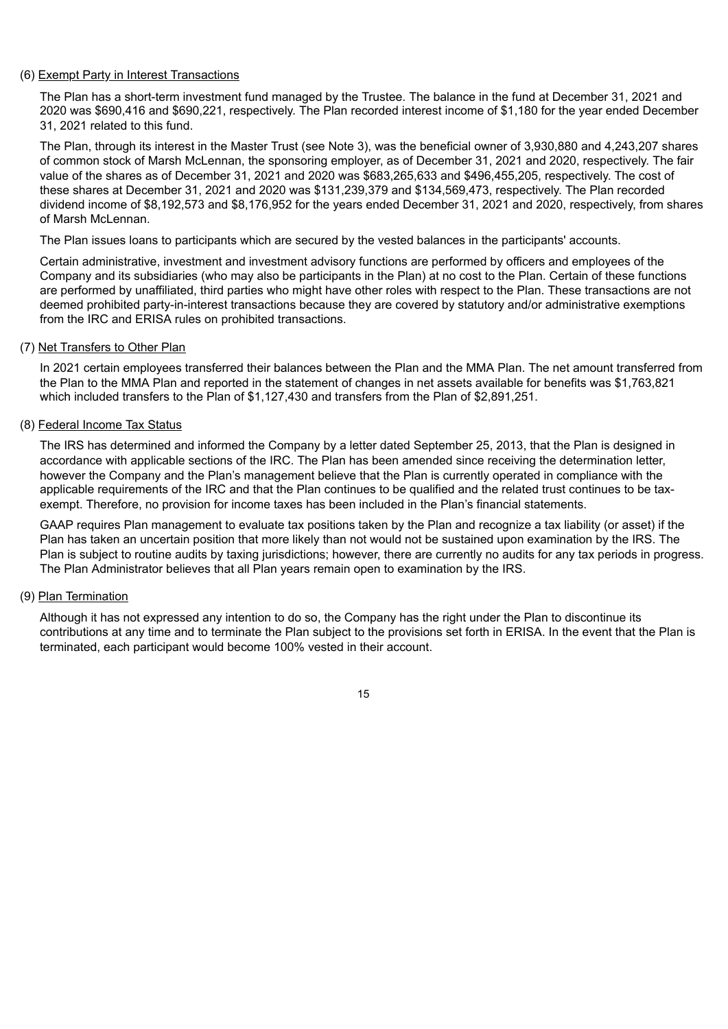#### (6) Exempt Party in Interest Transactions

The Plan has a short-term investment fund managed by the Trustee. The balance in the fund at December 31, 2021 and 2020 was \$690,416 and \$690,221, respectively. The Plan recorded interest income of \$1,180 for the year ended December 31, 2021 related to this fund.

The Plan, through its interest in the Master Trust (see Note 3), was the beneficial owner of 3,930,880 and 4,243,207 shares of common stock of Marsh McLennan, the sponsoring employer, as of December 31, 2021 and 2020, respectively. The fair value of the shares as of December 31, 2021 and 2020 was \$683,265,633 and \$496,455,205, respectively. The cost of these shares at December 31, 2021 and 2020 was \$131,239,379 and \$134,569,473, respectively. The Plan recorded dividend income of \$8,192,573 and \$8,176,952 for the years ended December 31, 2021 and 2020, respectively, from shares of Marsh McLennan.

The Plan issues loans to participants which are secured by the vested balances in the participants' accounts.

Certain administrative, investment and investment advisory functions are performed by officers and employees of the Company and its subsidiaries (who may also be participants in the Plan) at no cost to the Plan. Certain of these functions are performed by unaffiliated, third parties who might have other roles with respect to the Plan. These transactions are not deemed prohibited party-in-interest transactions because they are covered by statutory and/or administrative exemptions from the IRC and ERISA rules on prohibited transactions.

#### (7) Net Transfers to Other Plan

In 2021 certain employees transferred their balances between the Plan and the MMA Plan. The net amount transferred from the Plan to the MMA Plan and reported in the statement of changes in net assets available for benefits was \$1,763,821 which included transfers to the Plan of \$1,127,430 and transfers from the Plan of \$2,891,251.

#### (8) Federal Income Tax Status

The IRS has determined and informed the Company by a letter dated September 25, 2013, that the Plan is designed in accordance with applicable sections of the IRC. The Plan has been amended since receiving the determination letter, however the Company and the Plan's management believe that the Plan is currently operated in compliance with the applicable requirements of the IRC and that the Plan continues to be qualified and the related trust continues to be taxexempt. Therefore, no provision for income taxes has been included in the Plan's financial statements.

GAAP requires Plan management to evaluate tax positions taken by the Plan and recognize a tax liability (or asset) if the Plan has taken an uncertain position that more likely than not would not be sustained upon examination by the IRS. The Plan is subject to routine audits by taxing jurisdictions; however, there are currently no audits for any tax periods in progress. The Plan Administrator believes that all Plan years remain open to examination by the IRS.

#### (9) Plan Termination

Although it has not expressed any intention to do so, the Company has the right under the Plan to discontinue its contributions at any time and to terminate the Plan subject to the provisions set forth in ERISA. In the event that the Plan is terminated, each participant would become 100% vested in their account.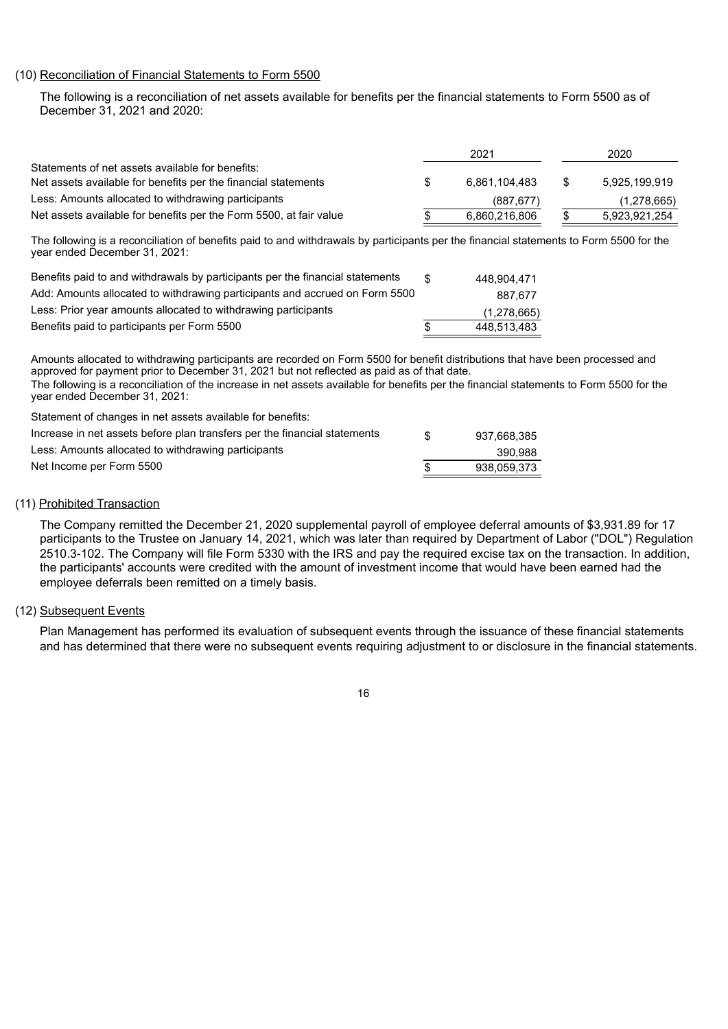#### (10) Reconciliation of Financial Statements to Form 5500

The following is a reconciliation of net assets available for benefits per the financial statements to Form 5500 as of December 31, 2021 and 2020:

|                                                                    | 2021      |               | 2020        |               |
|--------------------------------------------------------------------|-----------|---------------|-------------|---------------|
| Statements of net assets available for benefits:                   |           |               |             |               |
| Net assets available for benefits per the financial statements     | SS.       | 6.861.104.483 | - S         | 5,925,199,919 |
| Less: Amounts allocated to withdrawing participants                | (887.677) |               | (1,278,665) |               |
| Net assets available for benefits per the Form 5500, at fair value | S.        | 6.860.216.806 | \$          | 5,923,921,254 |

The following is a reconciliation of benefits paid to and withdrawals by participants per the financial statements to Form 5500 for the year ended December 31, 2021:

| Benefits paid to and withdrawals by participants per the financial statements |    | 448.904.471 |
|-------------------------------------------------------------------------------|----|-------------|
| Add: Amounts allocated to withdrawing participants and accrued on Form 5500   |    | 887.677     |
| Less: Prior year amounts allocated to withdrawing participants                |    | (1,278,665) |
| Benefits paid to participants per Form 5500                                   | \$ | 448.513.483 |

Amounts allocated to withdrawing participants are recorded on Form 5500 for benefit distributions that have been processed and approved for payment prior to December 31, 2021 but not reflected as paid as of that date. The following is a reconciliation of the increase in net assets available for benefits per the financial statements to Form 5500 for the

year ended December 31, 2021: Statement of changes in net assets available for benefits:

| Net Income per Form 5500                                                  |     | 938.059.373 |
|---------------------------------------------------------------------------|-----|-------------|
| Less: Amounts allocated to withdrawing participants                       |     | 390.988     |
| Increase in net assets before plan transfers per the financial statements | -SG | 937.668.385 |
| Statement of changes in het assets available for benefits.                |     |             |

#### (11) Prohibited Transaction

The Company remitted the December 21, 2020 supplemental payroll of employee deferral amounts of \$3,931.89 for 17 participants to the Trustee on January 14, 2021, which was later than required by Department of Labor ("DOL") Regulation 2510.3-102. The Company will file Form 5330 with the IRS and pay the required excise tax on the transaction. In addition, the participants' accounts were credited with the amount of investment income that would have been earned had the employee deferrals been remitted on a timely basis.

#### (12) Subsequent Events

Plan Management has performed its evaluation of subsequent events through the issuance of these financial statements and has determined that there were no subsequent events requiring adjustment to or disclosure in the financial statements.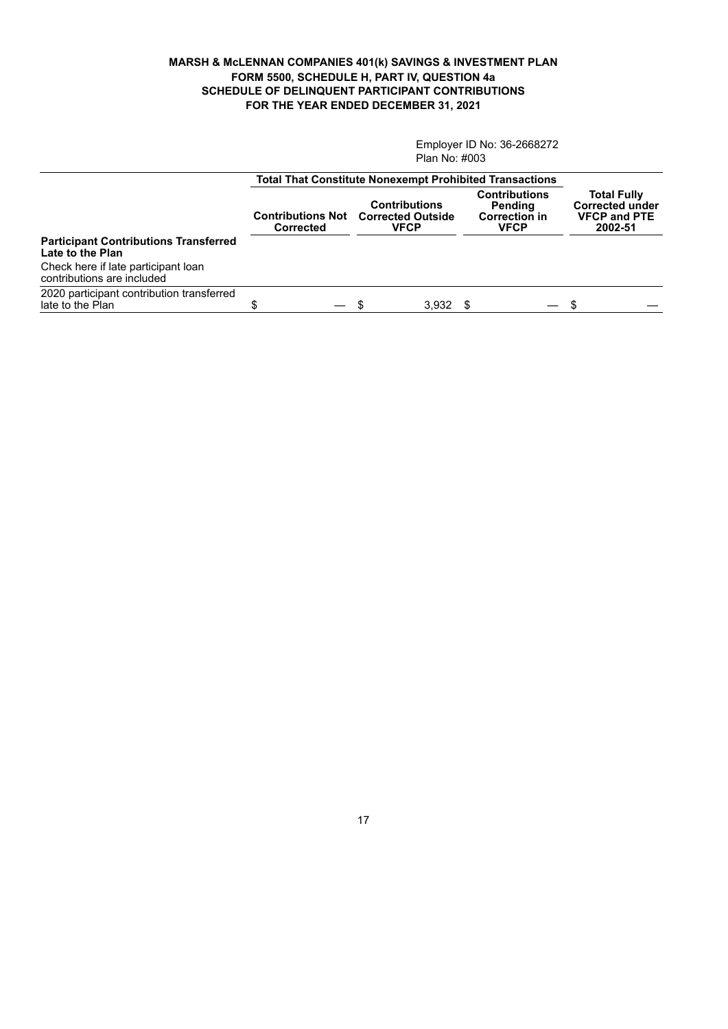#### **MARSH & McLENNAN COMPANIES 401(k) SAVINGS & INVESTMENT PLAN FORM 5500, SCHEDULE H, PART IV, QUESTION 4a SCHEDULE OF DELINQUENT PARTICIPANT CONTRIBUTIONS FOR THE YEAR ENDED DECEMBER 31, 2021**

Employer ID No: 36-2668272 Plan No: #003

|                                                                   | <b>Total That Constitute Nonexempt Prohibited Transactions</b> |                                                                 |                                                                        |                                                                                |
|-------------------------------------------------------------------|----------------------------------------------------------------|-----------------------------------------------------------------|------------------------------------------------------------------------|--------------------------------------------------------------------------------|
|                                                                   | <b>Contributions Not</b><br><b>Corrected</b>                   | <b>Contributions</b><br><b>Corrected Outside</b><br><b>VFCP</b> | <b>Contributions</b><br>Pending<br><b>Correction in</b><br><b>VFCP</b> | <b>Total Fully</b><br><b>Corrected under</b><br><b>VFCP and PTE</b><br>2002-51 |
| <b>Participant Contributions Transferred</b><br>Late to the Plan  |                                                                |                                                                 |                                                                        |                                                                                |
| Check here if late participant loan<br>contributions are included |                                                                |                                                                 |                                                                        |                                                                                |
| 2020 participant contribution transferred<br>late to the Plan     |                                                                | 3,932<br>- \$                                                   | $\overline{\phantom{0}}$                                               | \$.                                                                            |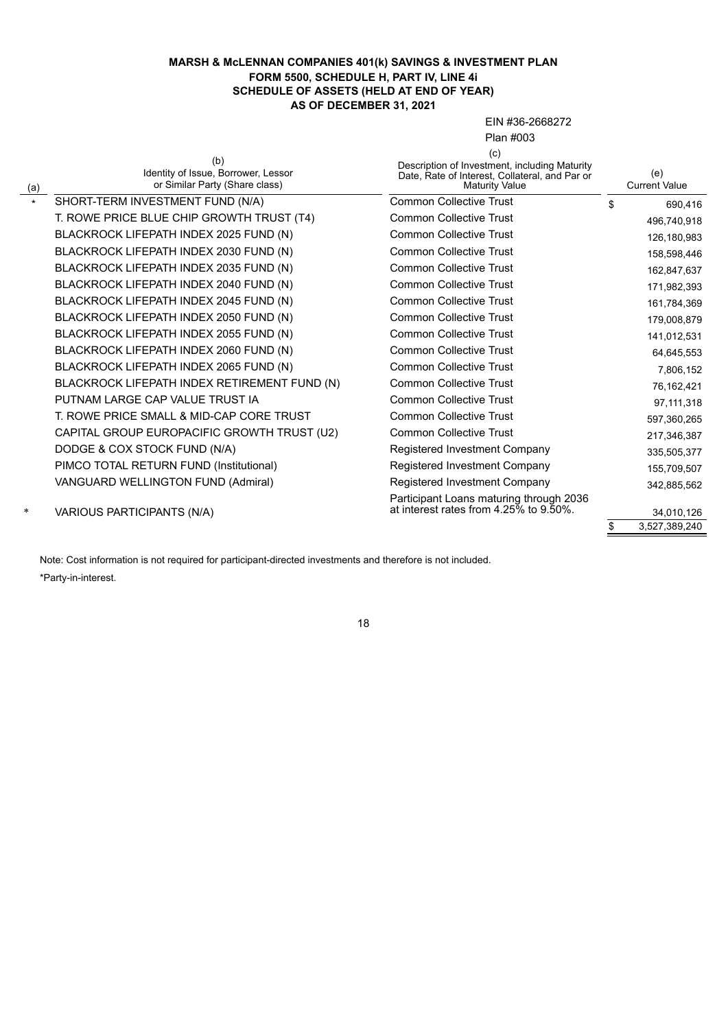#### **MARSH & McLENNAN COMPANIES 401(k) SAVINGS & INVESTMENT PLAN FORM 5500, SCHEDULE H, PART IV, LINE 4i SCHEDULE OF ASSETS (HELD AT END OF YEAR) AS OF DECEMBER 31, 2021**

EIN #36-2668272

Plan #003

| (a)     | (b)<br>Identity of Issue, Borrower, Lessor<br>or Similar Party (Share class) | (c)<br>Description of Investment, including Maturity<br>Date, Rate of Interest, Collateral, and Par or<br><b>Maturity Value</b> | (e)<br><b>Current Value</b> |
|---------|------------------------------------------------------------------------------|---------------------------------------------------------------------------------------------------------------------------------|-----------------------------|
| $\star$ | SHORT-TERM INVESTMENT FUND (N/A)                                             | <b>Common Collective Trust</b>                                                                                                  | \$<br>690,416               |
|         | T. ROWE PRICE BLUE CHIP GROWTH TRUST (T4)                                    | <b>Common Collective Trust</b>                                                                                                  | 496,740,918                 |
|         | BLACKROCK LIFEPATH INDEX 2025 FUND (N)                                       | <b>Common Collective Trust</b>                                                                                                  | 126,180,983                 |
|         | BLACKROCK LIFEPATH INDEX 2030 FUND (N)                                       | <b>Common Collective Trust</b>                                                                                                  | 158,598,446                 |
|         | BLACKROCK LIFEPATH INDEX 2035 FUND (N)                                       | <b>Common Collective Trust</b>                                                                                                  | 162,847,637                 |
|         | BLACKROCK LIFEPATH INDEX 2040 FUND (N)                                       | <b>Common Collective Trust</b>                                                                                                  | 171,982,393                 |
|         | BLACKROCK LIFEPATH INDEX 2045 FUND (N)                                       | <b>Common Collective Trust</b>                                                                                                  | 161,784,369                 |
|         | BLACKROCK LIFEPATH INDEX 2050 FUND (N)                                       | <b>Common Collective Trust</b>                                                                                                  | 179,008,879                 |
|         | BLACKROCK LIFEPATH INDEX 2055 FUND (N)                                       | <b>Common Collective Trust</b>                                                                                                  | 141,012,531                 |
|         | BLACKROCK LIFEPATH INDEX 2060 FUND (N)                                       | <b>Common Collective Trust</b>                                                                                                  | 64,645,553                  |
|         | BLACKROCK LIFEPATH INDEX 2065 FUND (N)                                       | <b>Common Collective Trust</b>                                                                                                  | 7,806,152                   |
|         | BLACKROCK LIFEPATH INDEX RETIREMENT FUND (N)                                 | <b>Common Collective Trust</b>                                                                                                  | 76,162,421                  |
|         | PUTNAM LARGE CAP VALUE TRUST IA                                              | <b>Common Collective Trust</b>                                                                                                  | 97, 111, 318                |
|         | T. ROWE PRICE SMALL & MID-CAP CORE TRUST                                     | Common Collective Trust                                                                                                         | 597,360,265                 |
|         | CAPITAL GROUP EUROPACIFIC GROWTH TRUST (U2)                                  | <b>Common Collective Trust</b>                                                                                                  | 217,346,387                 |
|         | DODGE & COX STOCK FUND (N/A)                                                 | Registered Investment Company                                                                                                   | 335,505,377                 |
|         | PIMCO TOTAL RETURN FUND (Institutional)                                      | Registered Investment Company                                                                                                   | 155,709,507                 |
|         | VANGUARD WELLINGTON FUND (Admiral)                                           | Registered Investment Company                                                                                                   | 342,885,562                 |
| *       | VARIOUS PARTICIPANTS (N/A)                                                   | Participant Loans maturing through 2036<br>at interest rates from 4.25% to 9.50%.                                               | 34,010,126                  |

\$ 3,527,389,240

Note: Cost information is not required for participant-directed investments and therefore is not included. \*Party-in-interest.